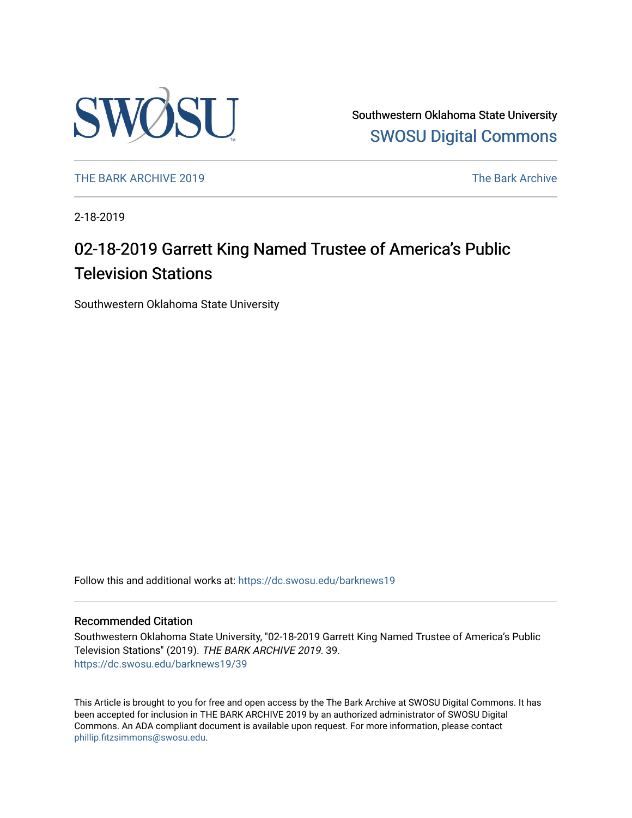

Southwestern Oklahoma State University [SWOSU Digital Commons](https://dc.swosu.edu/) 

[THE BARK ARCHIVE 2019](https://dc.swosu.edu/barknews19) The Bark Archive

2-18-2019

## 02-18-2019 Garrett King Named Trustee of America's Public Television Stations

Southwestern Oklahoma State University

Follow this and additional works at: [https://dc.swosu.edu/barknews19](https://dc.swosu.edu/barknews19?utm_source=dc.swosu.edu%2Fbarknews19%2F39&utm_medium=PDF&utm_campaign=PDFCoverPages)

#### Recommended Citation

Southwestern Oklahoma State University, "02-18-2019 Garrett King Named Trustee of America's Public Television Stations" (2019). THE BARK ARCHIVE 2019. 39. [https://dc.swosu.edu/barknews19/39](https://dc.swosu.edu/barknews19/39?utm_source=dc.swosu.edu%2Fbarknews19%2F39&utm_medium=PDF&utm_campaign=PDFCoverPages) 

This Article is brought to you for free and open access by the The Bark Archive at SWOSU Digital Commons. It has been accepted for inclusion in THE BARK ARCHIVE 2019 by an authorized administrator of SWOSU Digital Commons. An ADA compliant document is available upon request. For more information, please contact [phillip.fitzsimmons@swosu.edu](mailto:phillip.fitzsimmons@swosu.edu).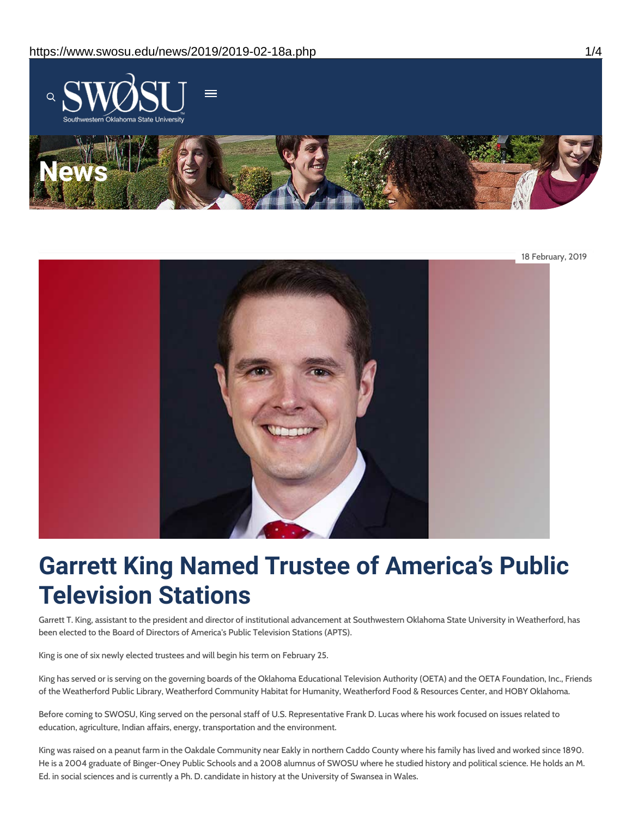

18 February, 2019

# **Garrett King Named Trustee of America's Public Television Stations**

Garrett T. King, assistant to the president and director of institutional advancement at Southwestern Oklahoma State University in Weatherford, has been elected to the Board of Directors of America's Public Television Stations (APTS).

King is one of six newly elected trustees and will begin his term on February 25.

King has served or is serving on the governing boards of the Oklahoma Educational Television Authority (OETA) and the OETA Foundation, Inc., Friends of the Weatherford Public Library, Weatherford Community Habitat for Humanity, Weatherford Food & Resources Center, and HOBY Oklahoma.

Before coming to SWOSU, King served on the personal staff of U.S. Representative Frank D. Lucas where his work focused on issues related to education, agriculture, Indian affairs, energy, transportation and the environment.

King was raised on a peanut farm in the Oakdale Community near Eakly in northern Caddo County where his family has lived and worked since 1890. He is a 2004 graduate of Binger-Oney Public Schools and a 2008 alumnus of SWOSU where he studied history and political science. He holds an M. Ed. in social sciences and is currently a Ph. D. candidate in history at the University of Swansea in Wales.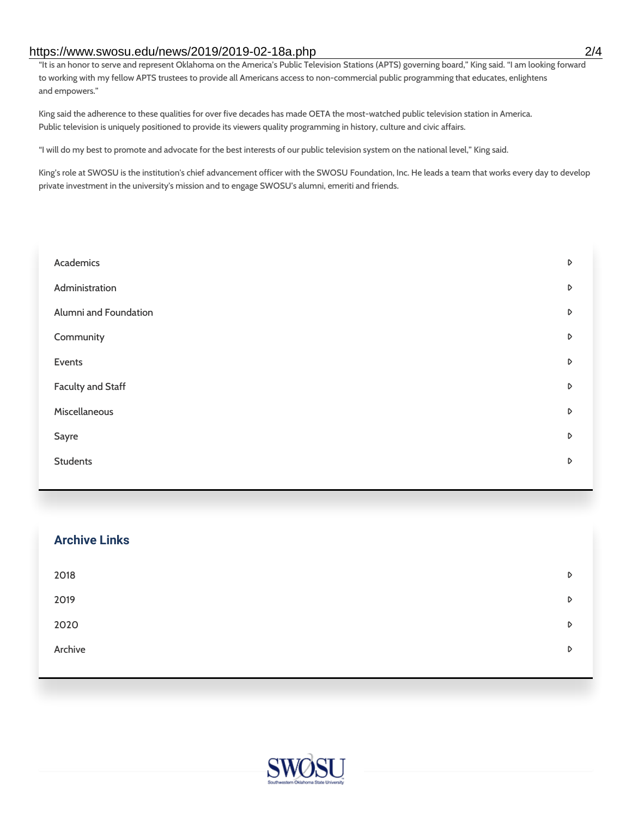#### https://www.swosu.edu/news/2019/2019-02-18a.php 2/4

"It is an honor to serve and represent Oklahoma on the America's Public Television Stations (APTS) governing board," King said. "I am looking forward to working with my fellow APTS trustees to provide all Americans access to non-commercial public programming that educates, enlightens and empowers."

King said the adherence to these qualities for over five decades has made OETA the most-watched public television station in America. Public television is uniquely positioned to provide its viewers quality programming in history, culture and civic affairs.

"I will do my best to promote and advocate for the best interests of our public television system on the national level," King said.

King's role at SWOSU is the institution's chief advancement officer with the SWOSU Foundation, Inc. He leads a team that works every day to develop private investment in the university's mission and to engage SWOSU's alumni, emeriti and friends.

| Academics             | D |
|-----------------------|---|
| Administration        | D |
| Alumni and Foundation | D |
| Community             | D |
| Events                | D |
| Faculty and Staff     | D |
| Miscellaneous         | D |
| Sayre                 | D |
| <b>Students</b>       | D |
|                       |   |

| <b>Archive Links</b> |   |
|----------------------|---|
| 2018                 | D |
| 2019                 | D |
| 2020                 | D |
| Archive              | D |
|                      |   |

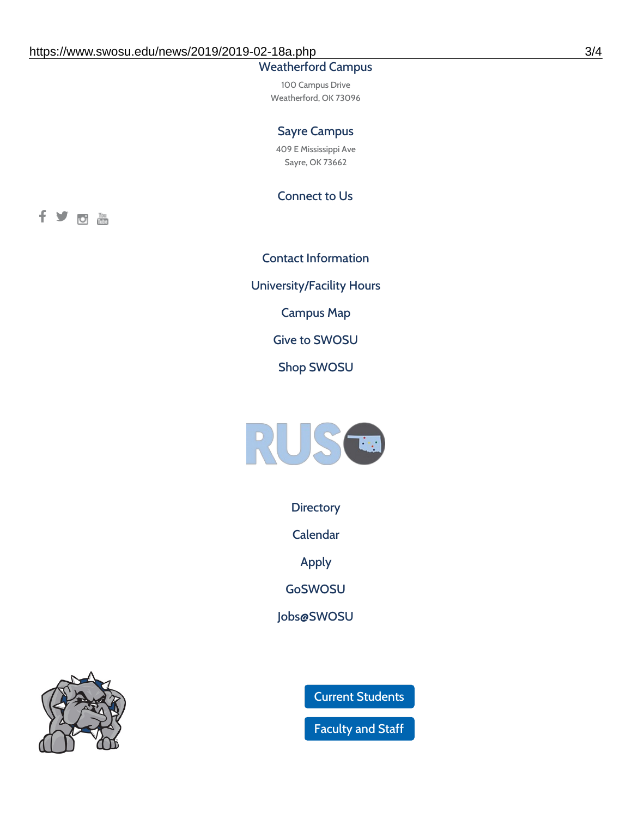### Weatherford Campus

100 Campus Drive Weatherford, OK 73096

#### Sayre Campus

409 E Mississippi Ave Sayre, OK 73662

Connect to Us

fyom

Contact [Information](https://www.swosu.edu/about/contact.php) [University/Facility](https://www.swosu.edu/about/operating-hours.php) Hours [Campus](https://map.concept3d.com/?id=768#!ct/10964,10214,10213,10212,10205,10204,10203,10202,10136,10129,10128,0,31226,10130,10201,10641,0) Map Give to [SWOSU](https://standingfirmly.com/donate) Shop [SWOSU](https://shopswosu.merchorders.com/)



**[Directory](https://www.swosu.edu/directory/index.php)** 

[Calendar](https://eventpublisher.dudesolutions.com/swosu/)

[Apply](https://www.swosu.edu/admissions/apply-to-swosu.php)

[GoSWOSU](https://qlsso.quicklaunchsso.com/home/1267)

[Jobs@SWOSU](https://swosu.csod.com/ux/ats/careersite/1/home?c=swosu)



Current [Students](https://bulldog.swosu.edu/index.php)

[Faculty](https://bulldog.swosu.edu/faculty-staff/index.php) and Staff